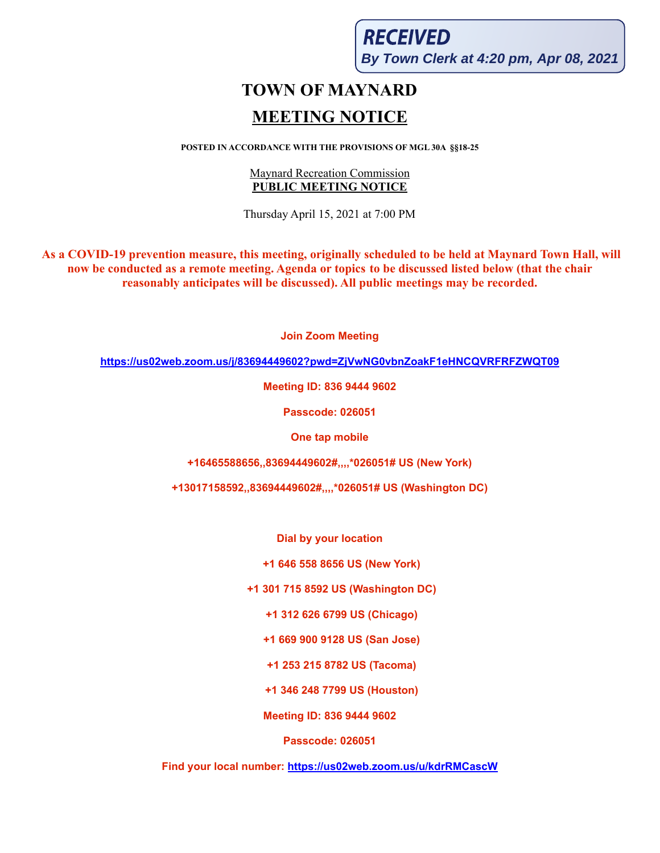**RECEIVED By Town Clerk at 4:20 pm, Apr 08, 2021**

# **TOWN OF MAYNARD MEETING NOTICE**

**POSTED IN ACCORDANCE WITH THE PROVISIONS OF MGL 30A §§18-25**

#### Maynard Recreation Commission **PUBLIC MEETING NOTICE**

Thursday April 15, 2021 at 7:00 PM

**As a COVID-19 prevention measure, this meeting, originally scheduled to be held at Maynard Town Hall, will now be conducted as a remote meeting. Agenda or topics to be discussed listed below (that the chair reasonably anticipates will be discussed). All public meetings may be recorded.**

**Join Zoom Meeting**

**<https://us02web.zoom.us/j/83694449602?pwd=ZjVwNG0vbnZoakF1eHNCQVRFRFZWQT09>**

**Meeting ID: 836 9444 9602**

**Passcode: 026051**

**One tap mobile**

**+16465588656,,83694449602#,,,,\*026051# US (New York)**

**+13017158592,,83694449602#,,,,\*026051# US (Washington DC)**

**Dial by your location**

**+1 646 558 8656 US (New York)**

**+1 301 715 8592 US (Washington DC)**

**+1 312 626 6799 US (Chicago)**

**+1 669 900 9128 US (San Jose)**

**+1 253 215 8782 US (Tacoma)**

**+1 346 248 7799 US (Houston)**

**Meeting ID: 836 9444 9602**

**Passcode: 026051**

**Find your local number: <https://us02web.zoom.us/u/kdrRMCascW>**